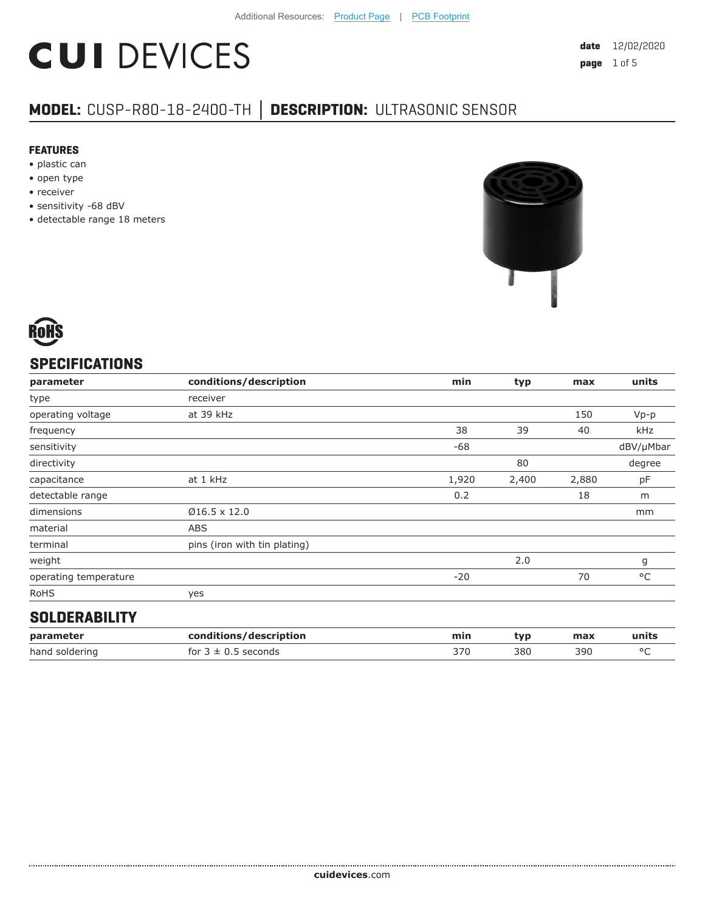# **CUI DEVICES**

### **MODEL:** CUSP-R80-18-2400-TH **│ DESCRIPTION:** ULTRASONIC SENSOR

#### **FEATURES**

- plastic can
- open type
- receiver
- sensitivity -68 dBV
- detectable range 18 meters





#### **SPECIFICATIONS**

| parameter             | conditions/description       | min   | typ   | max   | units        |
|-----------------------|------------------------------|-------|-------|-------|--------------|
| type                  | receiver                     |       |       |       |              |
| operating voltage     | at 39 kHz                    |       |       | 150   | $Vp-p$       |
| frequency             |                              | 38    | 39    | 40    | kHz          |
| sensitivity           |                              | -68   |       |       | dBV/µMbar    |
| directivity           |                              |       | 80    |       | degree       |
| capacitance           | at 1 kHz                     | 1,920 | 2,400 | 2,880 | pF           |
| detectable range      |                              | 0.2   |       | 18    | m            |
| dimensions            | $Ø16.5 \times 12.0$          |       |       |       | mm           |
| material              | <b>ABS</b>                   |       |       |       |              |
| terminal              | pins (iron with tin plating) |       |       |       |              |
| weight                |                              |       | 2.0   |       | g            |
| operating temperature |                              | $-20$ |       | 70    | $^{\circ}$ C |
| <b>RoHS</b>           | yes                          |       |       |       |              |
|                       |                              |       |       |       |              |

#### **SOLDERABILITY**

| parameter      | conditions/description  | min | tvp | max | units   |
|----------------|-------------------------|-----|-----|-----|---------|
| hand soldering | for $3 \pm 0.5$ seconds | 370 | 380 | 390 | $\circ$ |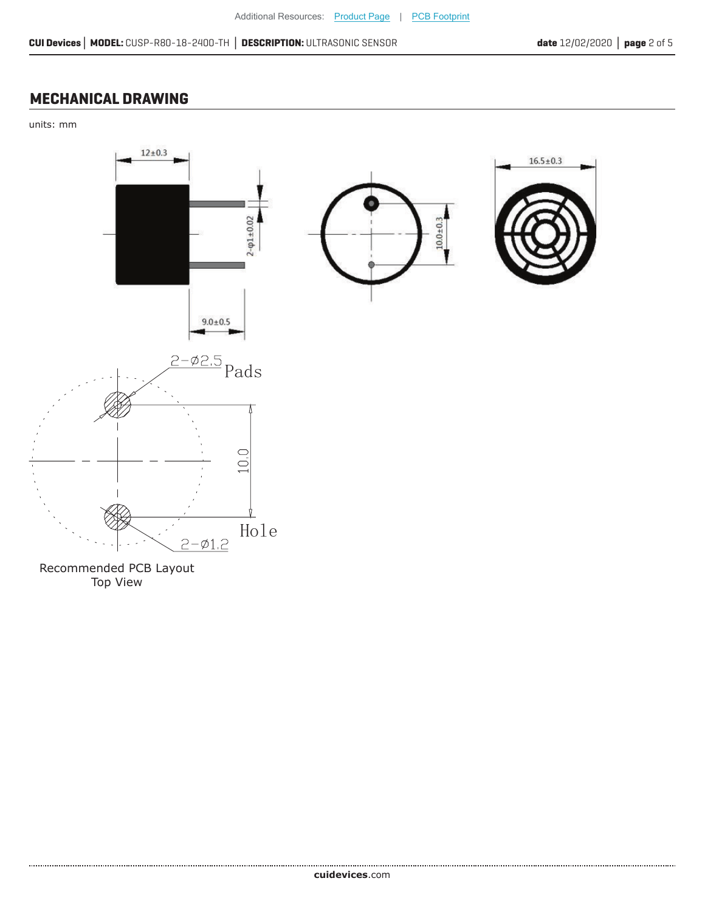#### **MECHANICAL DRAWING**

units: mm



Recommended PCB Layout Top View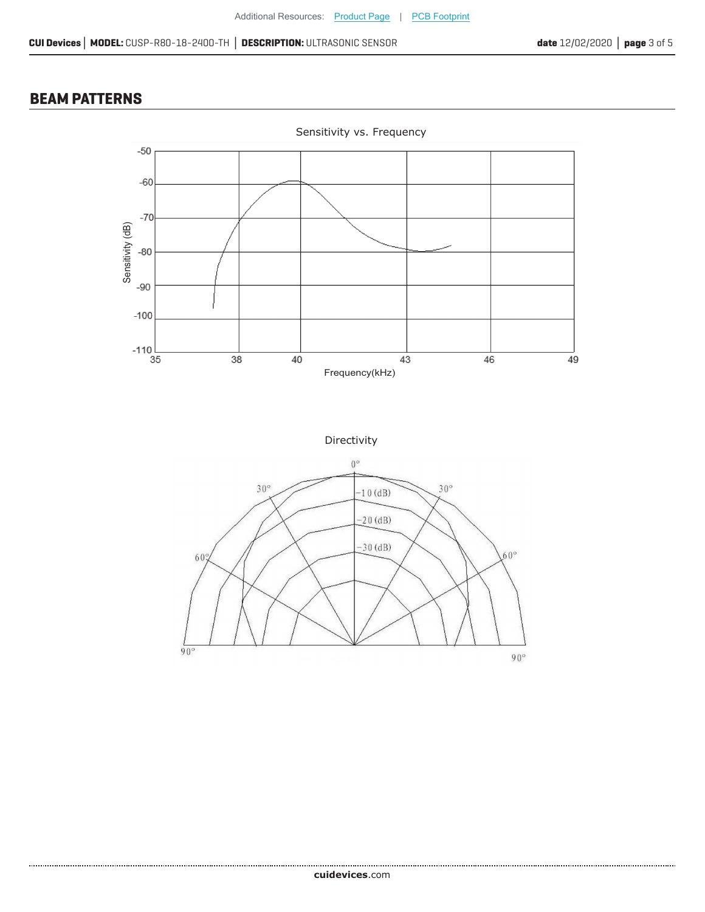#### **BEAM PATTERNS**

......................



Sensitivity vs. Frequency



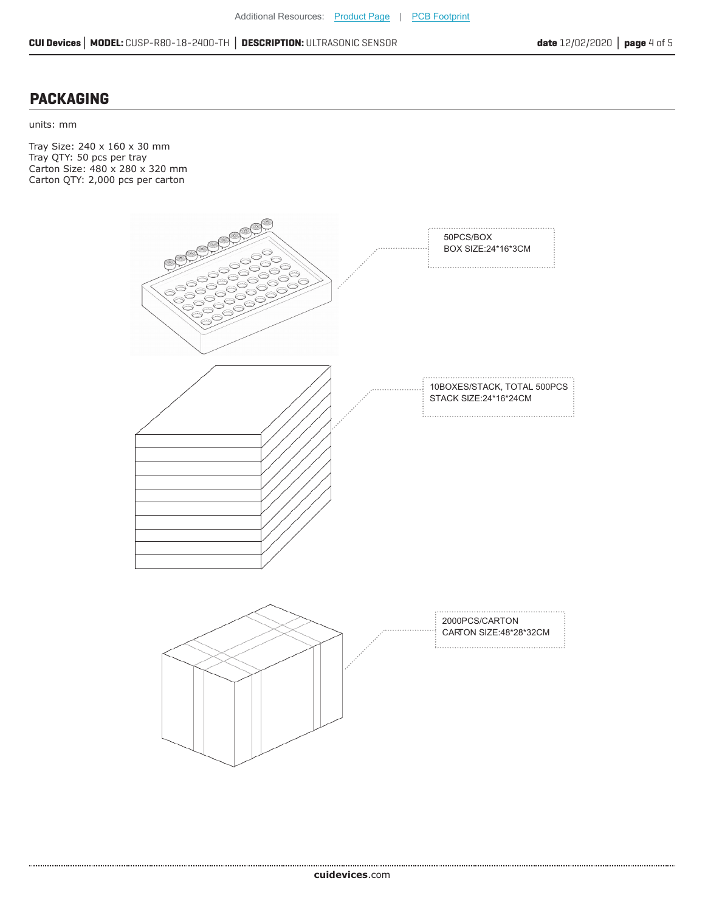#### **PACKAGING**

units: mm

Tray Size: 240 x 160 x 30 mm Tray QTY: 50 pcs per tray Carton Size: 480 x 280 x 320 mm Carton QTY: 2,000 pcs per carton